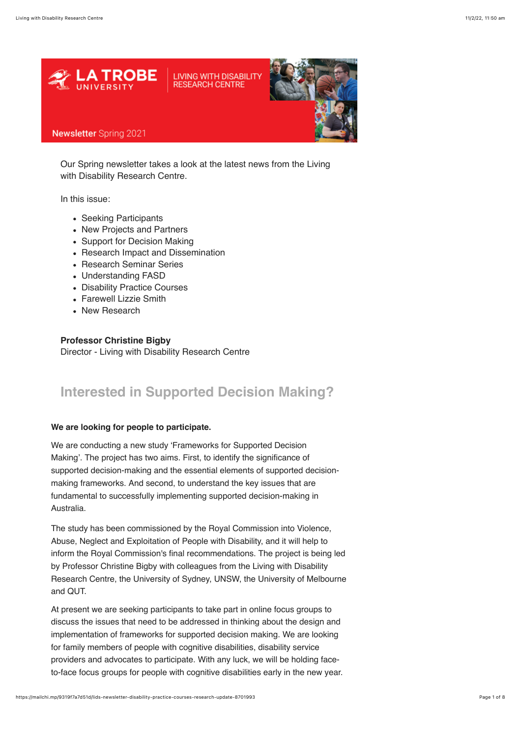

Our Spring newsletter takes a look at the latest news from the Living with Disability Research Centre.

In this issue:

- Seeking Participants
- New Projects and Partners
- Support for Decision Making
- Research Impact and Dissemination
- Research Seminar Series
- Understanding FASD
- Disability Practice Courses
- Farewell Lizzie Smith
- New Research

**Professor Christine Bigby** Director - Living with Disability Research Centre

## **Interested in Supported Decision Making?**

### **We are looking for people to participate.**

We are conducting a new study 'Frameworks for Supported Decision Making'. The project has two aims. First, to identify the significance of supported decision-making and the essential elements of supported decisionmaking frameworks. And second, to understand the key issues that are fundamental to successfully implementing supported decision-making in Australia.

The study has been commissioned by the Royal Commission into Violence, Abuse, Neglect and Exploitation of People with Disability, and it will help to inform the Royal Commission's final recommendations. The project is being led by Professor Christine Bigby with colleagues from the Living with Disability Research Centre, the University of Sydney, UNSW, the University of Melbourne and QUT.

At present we are seeking participants to take part in online focus groups to discuss the issues that need to be addressed in thinking about the design and implementation of frameworks for supported decision making. We are looking for family members of people with cognitive disabilities, disability service providers and advocates to participate. With any luck, we will be holding faceto-face focus groups for people with cognitive disabilities early in the new year.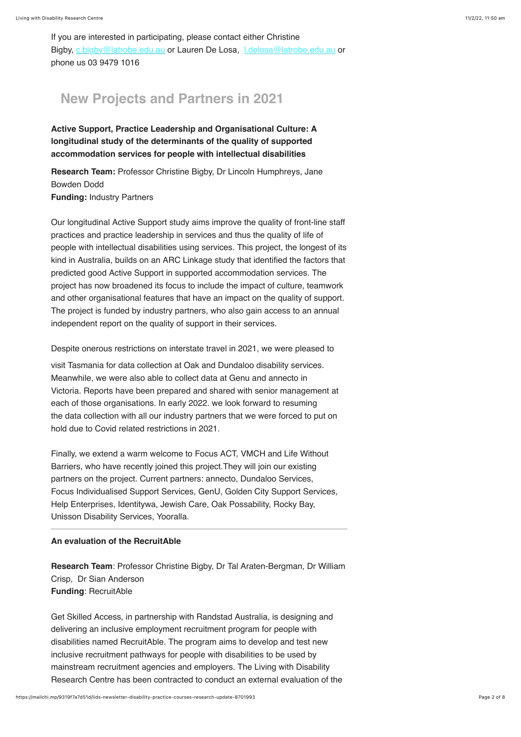If you are interested in participating, please contact either Christine Bigby, [c.bigby@latrobe.edu.au](mailto:c.bigby@latrobe.edu.au) or Lauren De Losa, Ldelosa@latrobe.edu.au or phone us 03 9479 1016

## **New Projects and Partners in 2021**

**Active Support, Practice Leadership and Organisational Culture: A longitudinal study of the determinants of the quality of supported accommodation services for people with intellectual disabilities**

**Research Team:** Professor Christine Bigby, Dr Lincoln Humphreys, Jane Bowden Dodd **Funding:** Industry Partners

Our longitudinal Active Support study aims improve the quality of front-line staff practices and practice leadership in services and thus the quality of life of people with intellectual disabilities using services. This project, the longest of its kind in Australia, builds on an ARC Linkage study that identified the factors that predicted good Active Support in supported accommodation services. The project has now broadened its focus to include the impact of culture, teamwork and other organisational features that have an impact on the quality of support. The project is funded by industry partners, who also gain access to an annual independent report on the quality of support in their services.

Despite onerous restrictions on interstate travel in 2021, we were pleased to

visit Tasmania for data collection at Oak and Dundaloo disability services. Meanwhile, we were also able to collect data at Genu and annecto in Victoria. Reports have been prepared and shared with senior management at each of those organisations. In early 2022. we look forward to resuming the data collection with all our industry partners that we were forced to put on hold due to Covid related restrictions in 2021.

Finally, we extend a warm welcome to Focus ACT, VMCH and Life Without Barriers, who have recently joined this project.They will join our existing partners on the project. Current partners: annecto, Dundaloo Services, Focus Individualised Support Services, GenU, Golden City Support Services, Help Enterprises, Identitywa, Jewish Care, Oak Possability, Rocky Bay, Unisson Disability Services, Yooralla.

### **An evaluation of the RecruitAble**

**Research Team**: Professor Christine Bigby, Dr Tal Araten-Bergman, Dr William Crisp, Dr Sian Anderson **Funding**: RecruitAble

Get Skilled Access, in partnership with Randstad Australia, is designing and delivering an inclusive employment recruitment program for people with disabilities named RecruitAble. The program aims to develop and test new inclusive recruitment pathways for people with disabilities to be used by mainstream recruitment agencies and employers. The Living with Disability Research Centre has been contracted to conduct an external evaluation of the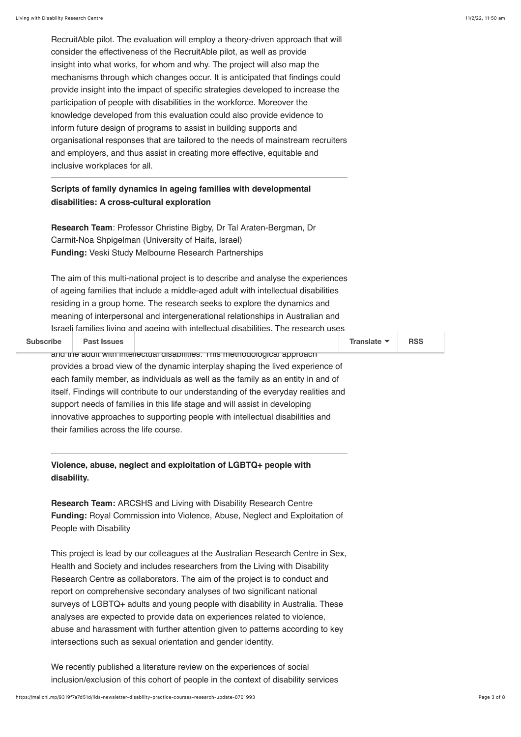RecruitAble pilot. The evaluation will employ a theory-driven approach that will consider the effectiveness of the RecruitAble pilot, as well as provide insight into what works, for whom and why. The project will also map the mechanisms through which changes occur. It is anticipated that findings could provide insight into the impact of specific strategies developed to increase the participation of people with disabilities in the workforce. Moreover the knowledge developed from this evaluation could also provide evidence to inform future design of programs to assist in building supports and organisational responses that are tailored to the needs of mainstream recruiters and employers, and thus assist in creating more effective, equitable and inclusive workplaces for all.

## **Scripts of family dynamics in ageing families with developmental disabilities: A cross-cultural exploration**

**Research Team**: Professor Christine Bigby, Dr Tal Araten-Bergman, Dr Carmit-Noa Shpigelman (University of Haifa, Israel) **Funding:** Veski Study Melbourne Research Partnerships

The aim of this multi-national project is to describe and analyse the experiences of ageing families that include a middle-aged adult with intellectual disabilities residing in a group home. The research seeks to explore the dynamics and meaning of interpersonal and intergenerational relationships in Australian and Israeli families living and ageing with intellectual disabilities. The research uses

Subscribe **Past Issues** and the adult with intellectual disabilities. This methodological approach provides a broad view of the dynamic interplay shaping the lived experience of each family member, as individuals as well as the family as an entity in and of itself. Findings will contribute to our understanding of the everyday realities and support needs of families in this life stage and will assist in developing innovative approaches to supporting people with intellectual disabilities and their families across the life course. **[Subscribe](http://eepurl.com/ddL6an) Past Issues [Translate](javascript:;) [RSS](https://us10.campaign-archive.com/feed?u=35f4a85d3bc988f11f0a8e95f&id=e6e1635cc9)**

**Violence, abuse, neglect and exploitation of LGBTQ+ people with disability.** 

**Research Team:** ARCSHS and Living with Disability Research Centre **Funding:** Royal Commission into Violence, Abuse, Neglect and Exploitation of People with Disability

This project is lead by our colleagues at the Australian Research Centre in Sex, Health and Society and includes researchers from the Living with Disability Research Centre as collaborators. The aim of the project is to conduct and report on comprehensive secondary analyses of two significant national surveys of LGBTQ+ adults and young people with disability in Australia. These analyses are expected to provide data on experiences related to violence, abuse and harassment with further attention given to patterns according to key intersections such as sexual orientation and gender identity.

We recently published a literature review on the experiences of social inclusion/exclusion of this cohort of people in the context of disability services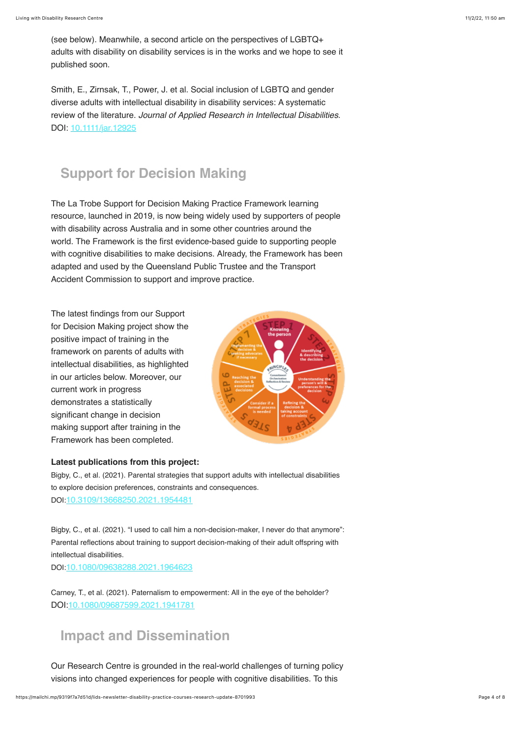(see below). Meanwhile, a second article on the perspectives of LGBTQ+ adults with disability on disability services is in the works and we hope to see it published soon.

Smith, E., Zirnsak, T., Power, J. et al. Social inclusion of LGBTQ and gender diverse adults with intellectual disability in disability services: A systematic review of the literature. *Journal of Applied Research in Intellectual Disabilities*. DOI: [10.1111/jar.12925](https://doi.org/10.1111/jar.12925)

# **Support for Decision Making**

The La Trobe Support for Decision Making Practice Framework learning resource, launched in 2019, is now being widely used by supporters of people with disability across Australia and in some other countries around the world. The Framework is the first evidence-based guide to supporting people with cognitive disabilities to make decisions. Already, the Framework has been adapted and used by the Queensland Public Trustee and the Transport Accident Commission to support and improve practice.

The latest findings from our Support for Decision Making project show the positive impact of training in the framework on parents of adults with intellectual disabilities, as highlighted in our articles below. Moreover, our current work in progress demonstrates a statistically significant change in decision making support after training in the Framework has been completed.



### **Latest publications from this project:**

Bigby, C., et al. (2021). Parental strategies that support adults with intellectual disabilities to explore decision preferences, constraints and consequences. DOI:[10.3109/13668250.2021.1954481](https://doi.org/10.3109/13668250.2021.1954481)

Bigby, C., et al. (2021). "I used to call him a non-decision-maker, I never do that anymore": Parental reflections about training to support decision-making of their adult offspring with intellectual disabilities. DOI:[10.1080/09638288.2021.1964623](https://doi.org/10.1080/09638288.2021.1964623)

Carney, T., et al. (2021). Paternalism to empowerment: All in the eye of the beholder? DOI[:10.1080/09687599.2021.1941781](https://doi.org/10.1080/09687599.2021.1941781)

## **Impact and Dissemination**

Our Research Centre is grounded in the real-world challenges of turning policy visions into changed experiences for people with cognitive disabilities. To this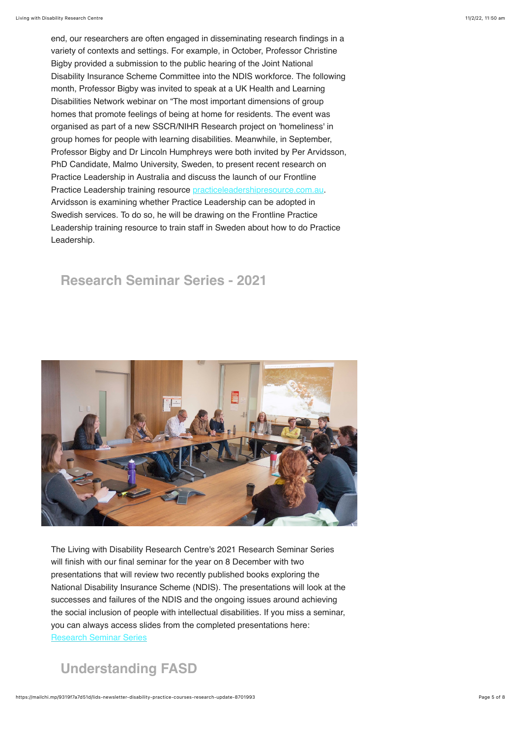end, our researchers are often engaged in disseminating research findings in a variety of contexts and settings. For example, in October, Professor Christine Bigby provided a submission to the public hearing of the Joint National Disability Insurance Scheme Committee into the NDIS workforce. The following month, Professor Bigby was invited to speak at a UK Health and Learning Disabilities Network webinar on "The most important dimensions of group homes that promote feelings of being at home for residents. The event was organised as part of a new SSCR/NIHR Research project on 'homeliness' in group homes for people with learning disabilities. Meanwhile, in September, Professor Bigby and Dr Lincoln Humphreys were both invited by Per Arvidsson, PhD Candidate, Malmo University, Sweden, to present recent research on Practice Leadership in Australia and discuss the launch of our Frontline Practice Leadership training resource [practiceleadershipresource.com.au.](https://www.practiceleadershipresource.com.au/) Arvidsson is examining whether Practice Leadership can be adopted in Swedish services. To do so, he will be drawing on the Frontline Practice Leadership training resource to train staff in Sweden about how to do Practice Leadership.

# **Research Seminar Series - 2021**



The Living with Disability Research Centre's 2021 Research Seminar Series will finish with our final seminar for the year on 8 December with two presentations that will review two recently published books exploring the National Disability Insurance Scheme (NDIS). The presentations will look at the successes and failures of the NDIS and the ongoing issues around achieving the social inclusion of people with intellectual disabilities. If you miss a seminar, you can always access slides from the completed presentations here: [Research Seminar Series](https://www.latrobe.edu.au/lids/resources/conferences)

# **Understanding FASD**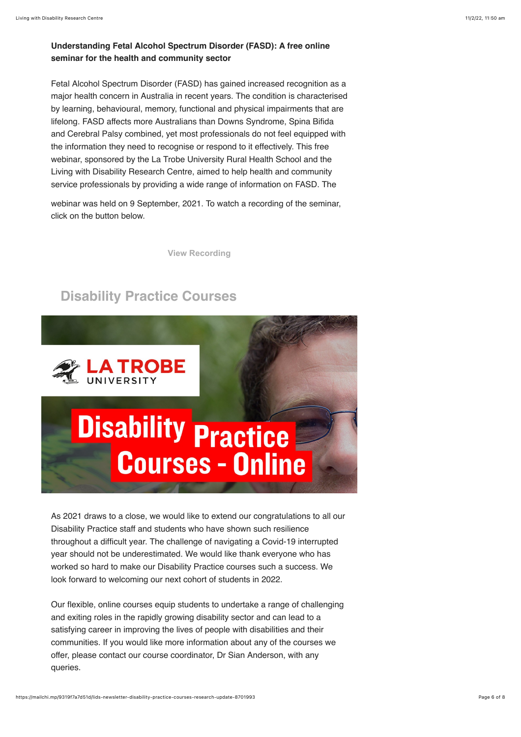### **Understanding Fetal Alcohol Spectrum Disorder (FASD): A free online seminar for the health and community sector**

Fetal Alcohol Spectrum Disorder (FASD) has gained increased recognition as a major health concern in Australia in recent years. The condition is characterised by learning, behavioural, memory, functional and physical impairments that are lifelong. FASD affects more Australians than Downs Syndrome, Spina Bifida and Cerebral Palsy combined, yet most professionals do not feel equipped with the information they need to recognise or respond to it effectively. This free webinar, sponsored by the La Trobe University Rural Health School and the Living with Disability Research Centre, aimed to help health and community service professionals by providing a wide range of information on FASD. The

webinar was held on 9 September, 2021. To watch a recording of the seminar, click on the button below.

**[View Recording](https://bit.ly/FASD_Webinar)**

## **Disability Practice Courses**



As 2021 draws to a close, we would like to extend our congratulations to all our Disability Practice staff and students who have shown such resilience throughout a difficult year. The challenge of navigating a Covid-19 interrupted year should not be underestimated. We would like thank everyone who has worked so hard to make our Disability Practice courses such a success. We look forward to welcoming our next cohort of students in 2022.

Our flexible, online courses equip students to undertake a range of challenging and exiting roles in the rapidly growing disability sector and can lead to a satisfying career in improving the lives of people with disabilities and their communities. If you would like more information about any of the courses we offer, please contact our course coordinator, Dr Sian Anderson, with any queries.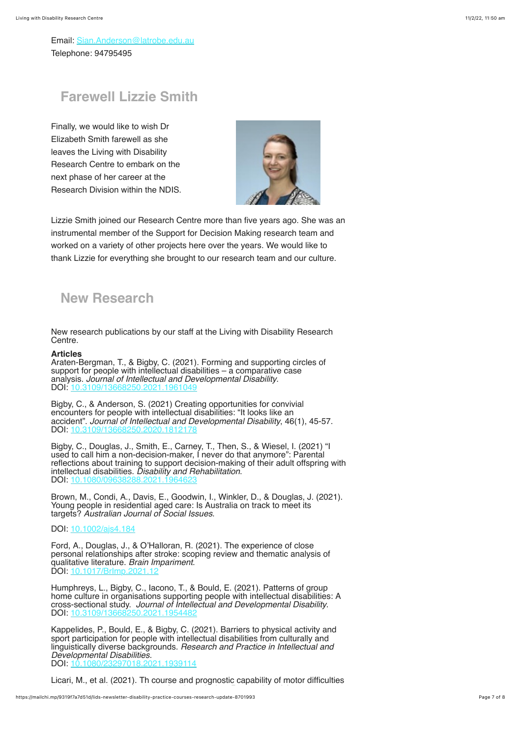Email: [Sian.Anderson@latrobe.edu.au](mailto:sian.anderson@latrobe.edu.au) Telephone: 94795495

## **Farewell Lizzie Smith**

Finally, we would like to wish Dr Elizabeth Smith farewell as she leaves the Living with Disability Research Centre to embark on the next phase of her career at the Research Division within the NDIS.



Lizzie Smith joined our Research Centre more than five years ago. She was an instrumental member of the Support for Decision Making research team and worked on a variety of other projects here over the years. We would like to thank Lizzie for everything she brought to our research team and our culture.

## **New Research**

New research publications by our staff at the Living with Disability Research Centre.

#### **Articles**

Araten-Bergman, T., & Bigby, C. (2021). Forming and supporting circles of support for people with intellectual disabilities – a comparative case analysis. *Journal of Intellectual and Developmental Disability*. DOI: 10.3109

Bigby, C., & Anderson, S. (2021) Creating opportunities for convivial encounters for people with intellectual disabilities: "It looks like an accident". *Journal of Intellectual and Developmental Disability*, 46(1), 45-57.  $DOI: 10.3109$ 

Bigby, C., Douglas, J., Smith, E., Carney, T., Then, S., & Wiesel, I. (2021) "I used to call him a non-decision-maker, I never do that anymore": Parental reflections about training to support decision-making of their adult offspring with intellectual disabilities. *Disability and Rehabilitation*. DOI: 10.

Brown, M., Condi, A., Davis, E., Goodwin, I., Winkler, D., & Douglas, J. (2021). Young people in residential aged care: Is Australia on track to meet its targets? *Australian Journal of Social Issues*.

### DOI: [10.1002/ajs4.184](https://doi.org/10.1002/ajs4.184)

Ford, A., Douglas, J., & O'Halloran, R. (2021). The experience of close personal relationships after stroke: scoping review and thematic analysis of qualitative literature. *Brain Impariment*. DOI: 10.1017/Brlmp

Humphreys, L., Bigby, C., Iacono, T., & Bould, E. (2021). Patterns of group home culture in organisations supporting people with intellectual disabilities: A cross-sectional study. *Journal of Intellectual and Developmental Disability*. DOI: 10.3<sup>-</sup>

Kappelides, P., Bould, E., & Bigby, C. (2021). Barriers to physical activity and sport participation for people with intellectual disabilities from culturally and linguistically diverse backgrounds. *Research and Practice in Intellectual and Developmental Disabilities*. 1939114

Licari, M., et al. (2021). Th course and prognostic capability of motor difficulties in infants showing early signs of autism. *Autism Research*, 14(8), 1759-1768.